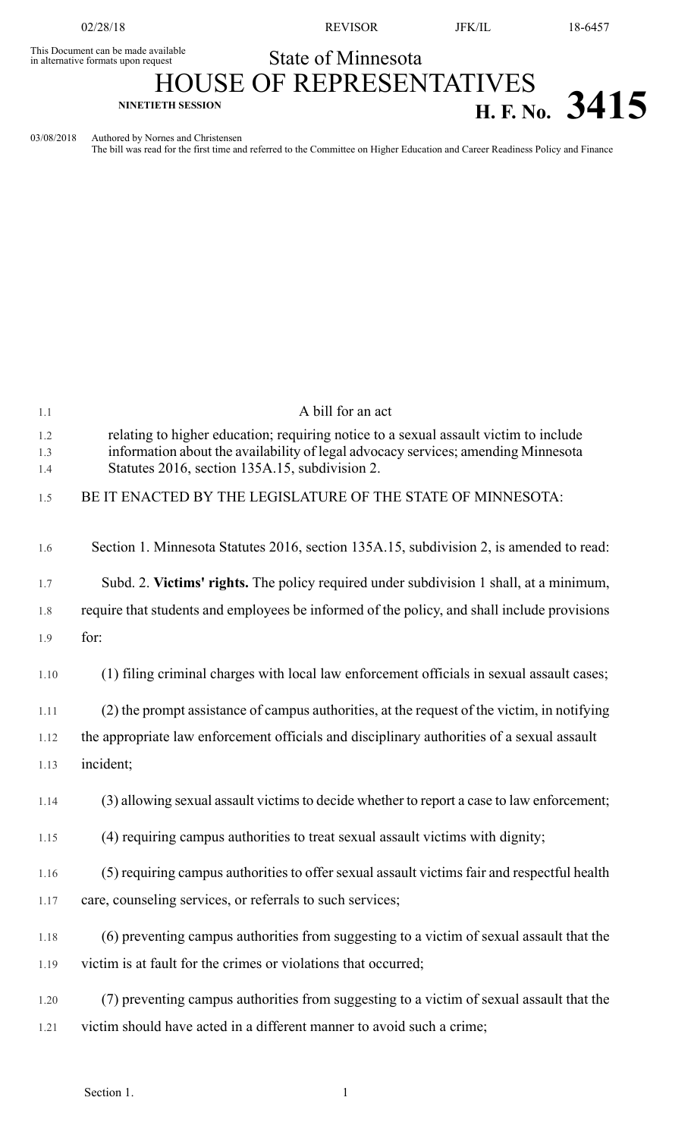02/28/18 REVISOR JFK/IL 18-6457

This Document can be made available<br>in alternative formats upon request

State of Minnesota

## HOUSE OF REPRESENTATIVES **H. F.** No. **3415**

03/08/2018 Authored by Nornes and Christensen

The bill was read for the first time and referred to the Committee on Higher Education and Career Readiness Policy and Finance

| 1.1        | A bill for an act                                                                                                                                                         |
|------------|---------------------------------------------------------------------------------------------------------------------------------------------------------------------------|
| 1.2<br>1.3 | relating to higher education; requiring notice to a sexual assault victim to include<br>information about the availability of legal advocacy services; amending Minnesota |
| 1.4        | Statutes 2016, section 135A.15, subdivision 2.                                                                                                                            |
| 1.5        | BE IT ENACTED BY THE LEGISLATURE OF THE STATE OF MINNESOTA:                                                                                                               |
| 1.6        | Section 1. Minnesota Statutes 2016, section 135A.15, subdivision 2, is amended to read:                                                                                   |
| 1.7        | Subd. 2. Victims' rights. The policy required under subdivision 1 shall, at a minimum,                                                                                    |
| 1.8        | require that students and employees be informed of the policy, and shall include provisions                                                                               |
| 1.9        | for:                                                                                                                                                                      |
| 1.10       | (1) filing criminal charges with local law enforcement officials in sexual assault cases;                                                                                 |
| 1.11       | (2) the prompt assistance of campus authorities, at the request of the victim, in notifying                                                                               |
| 1.12       | the appropriate law enforcement officials and disciplinary authorities of a sexual assault                                                                                |
| 1.13       | incident;                                                                                                                                                                 |
| 1.14       | (3) allowing sexual assault victims to decide whether to report a case to law enforcement;                                                                                |
| 1.15       | (4) requiring campus authorities to treat sexual assault victims with dignity;                                                                                            |
| 1.16       | (5) requiring campus authorities to offer sexual assault victims fair and respectful health                                                                               |
| 1.17       | care, counseling services, or referrals to such services;                                                                                                                 |
| 1.18       | (6) preventing campus authorities from suggesting to a victim of sexual assault that the                                                                                  |
| 1.19       | victim is at fault for the crimes or violations that occurred;                                                                                                            |
| 1.20       | (7) preventing campus authorities from suggesting to a victim of sexual assault that the                                                                                  |
| 1.21       | victim should have acted in a different manner to avoid such a crime;                                                                                                     |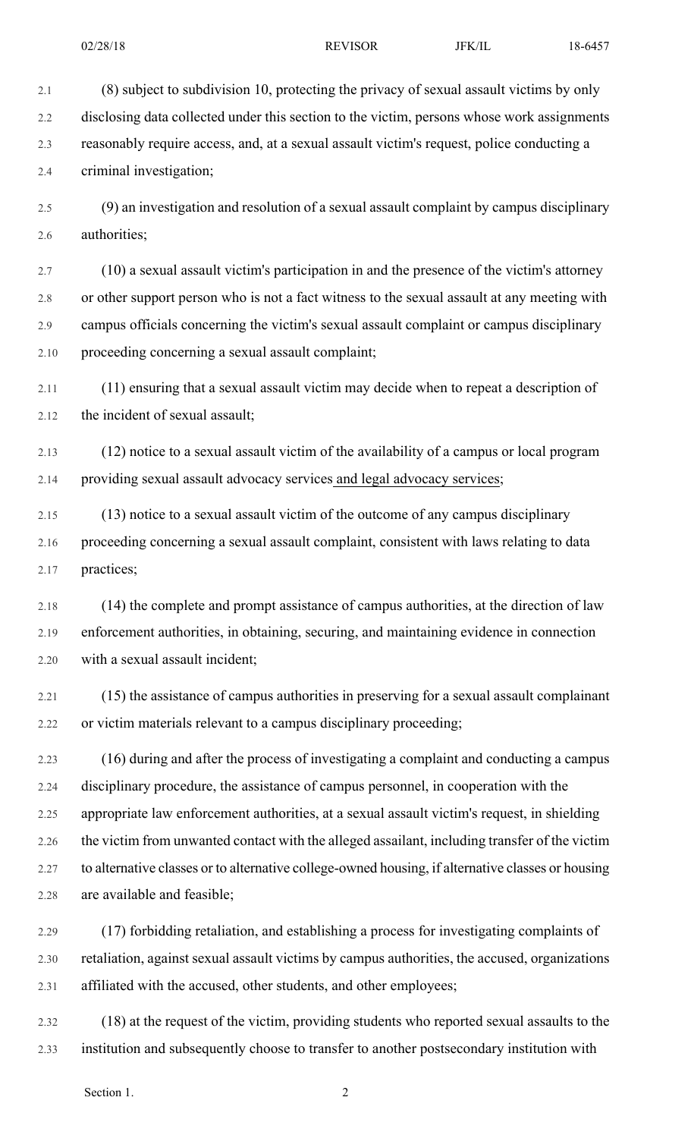2.1 (8) subject to subdivision 10, protecting the privacy of sexual assault victims by only 2.2 disclosing data collected under this section to the victim, persons whose work assignments 2.3 reasonably require access, and, at a sexual assault victim's request, police conducting a 2.4 criminal investigation;

2.5 (9) an investigation and resolution of a sexual assault complaint by campus disciplinary 2.6 authorities;

2.7 (10) a sexual assault victim's participation in and the presence of the victim's attorney 2.8 or other support person who is not a fact witness to the sexual assault at any meeting with 2.9 campus officials concerning the victim's sexual assault complaint or campus disciplinary 2.10 proceeding concerning a sexual assault complaint;

2.11 (11) ensuring that a sexual assault victim may decide when to repeat a description of 2.12 the incident of sexual assault;

2.13 (12) notice to a sexual assault victim of the availability of a campus or local program 2.14 providing sexual assault advocacy services and legal advocacy services;

2.15 (13) notice to a sexual assault victim of the outcome of any campus disciplinary 2.16 proceeding concerning a sexual assault complaint, consistent with laws relating to data 2.17 practices;

2.18 (14) the complete and prompt assistance of campus authorities, at the direction of law 2.19 enforcement authorities, in obtaining, securing, and maintaining evidence in connection 2.20 with a sexual assault incident;

2.21 (15) the assistance of campus authorities in preserving for a sexual assault complainant 2.22 or victim materials relevant to a campus disciplinary proceeding;

2.23 (16) during and after the process of investigating a complaint and conducting a campus 2.24 disciplinary procedure, the assistance of campus personnel, in cooperation with the 2.25 appropriate law enforcement authorities, at a sexual assault victim's request, in shielding 2.26 the victim from unwanted contact with the alleged assailant, including transfer of the victim 2.27 to alternative classes or to alternative college-owned housing, if alternative classes or housing 2.28 are available and feasible;

2.29 (17) forbidding retaliation, and establishing a process for investigating complaints of 2.30 retaliation, against sexual assault victims by campus authorities, the accused, organizations 2.31 affiliated with the accused, other students, and other employees;

2.32 (18) at the request of the victim, providing students who reported sexual assaults to the 2.33 institution and subsequently choose to transfer to another postsecondary institution with

Section 1. 2